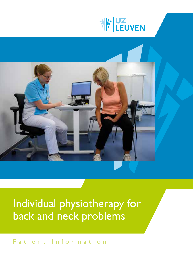



# Individual physiotherapy for back and neck problems

Patient Information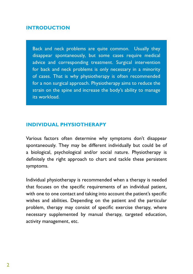#### **INTRODUCTION**

Back and neck problems are quite common. Usually they disappear spontaneously, but some cases require medical advice and corresponding treatment. Surgical intervention for back and neck problems is only necessary in a minority of cases. That is why physiotherapy is often recommended for a non surgical approach. Physiotherapy aims to reduce the strain on the spine and increase the body's ability to manage its workload.

#### **INDIVIDUAL PHYSIOTHERAPY**

Various factors often determine why symptoms don't disappear spontaneously. They may be different individually but could be of a biological, psychological and/or social nature. Physiotherapy is definitely the right approach to chart and tackle these persistent symptoms.

Individual physiotherapy is recommended when a therapy is needed that focuses on the specific requirements of an individual patient, with one to one contact and taking into account the patient's specific wishes and abilities. Depending on the patient and the particular problem, therapy may consist of specific exercise therapy, where necessary supplemented by manual therapy, targeted education, activity management, etc.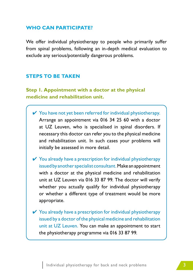### **WHO CAN PARTICIPATE?**

We offer individual physiotherapy to people who primarily suffer from spinal problems, following an in-depth medical evaluation to exclude any serious/potentially dangerous problems.

## **STEPS TO BE TAKEN**

**Step 1. Appointment with a doctor at the physical medicine and rehabilitation unit.**

- ✔ You have not yet been referred for individual physiotherapy. Arrange an appointment via 016 34 25 60 with a doctor at UZ Leuven, who is specialised in spinal disorders. If necessary this doctor can refer you to the physical medicine and rehabilitation unit. In such cases your problems will initially be assessed in more detail.
- $\vee$  You already have a prescription for individual physiotherapy issued by another specialist consultant. Make an appointment with a doctor at the physical medicine and rehabilitation unit at UZ Leuven via 016 33 87 99. The doctor will verify whether you actually qualify for individual physiotherapy or whether a different type of treatment would be more appropriate.

 $\vee$  You already have a prescription for individual physiotherapy issued by a doctor of the physical medicine and rehabilitation unit at UZ Leuven. You can make an appointment to start the physiotherapy programme via 016 33 87 99.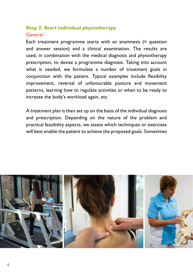## **Step 2. Start individual physiotherapy** General

Each treatment programme starts with an anamnesis  $(=$  question and answer session) and a clinical examination. The results are used, in combination with the medical diagnosis and physiotherapy prescription, to devise a programme diagnosis. Taking into account what is needed, we formulate a number of treatment goals in conjunction with the patient. Typical examples include flexibility improvement, reversal of unfavourable posture and movement patterns, learning how to regulate activities or when to be ready to increase the body's workload again, etc.

A treatment plan is then set up on the basis of the individual diagnosis and prescription. Depending on the nature of the problem and practical feasibility aspects, we assess which techniques or exercises will best enable the patient to achieve the proposed goals. Sometimes

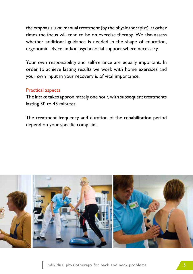the emphasis is on manual treatment (by the physiotherapist), at other times the focus will tend to be on exercise therapy. We also assess whether additional guidance is needed in the shape of education, ergonomic advice and/or psychosocial support where necessary.

Your own responsibility and self-reliance are equally important. In order to achieve lasting results we work with home exercises and your own input in your recovery is of vital importance.

#### Practical aspects

The intake takes approximately one hour, with subsequent treatments lasting 30 to 45 minutes.

The treatment frequency and duration of the rehabilitation period depend on your specific complaint.

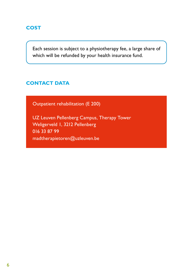### **COST**

Each session is subject to a physiotherapy fee, a large share of which will be refunded by your health insurance fund.

### **CONTACT DATA**

Outpatient rehabilitation (E 200)

UZ Leuven Pellenberg Campus, Therapy Tower Weligerveld 1, 3212 Pellenberg 016 33 87 99 madtherapietoren@uzleuven.be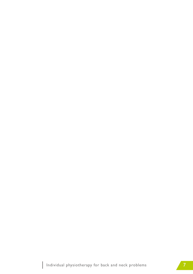Individual physiotherapy for back and neck problems  $\begin{pmatrix} 7 \end{pmatrix}$ 

I